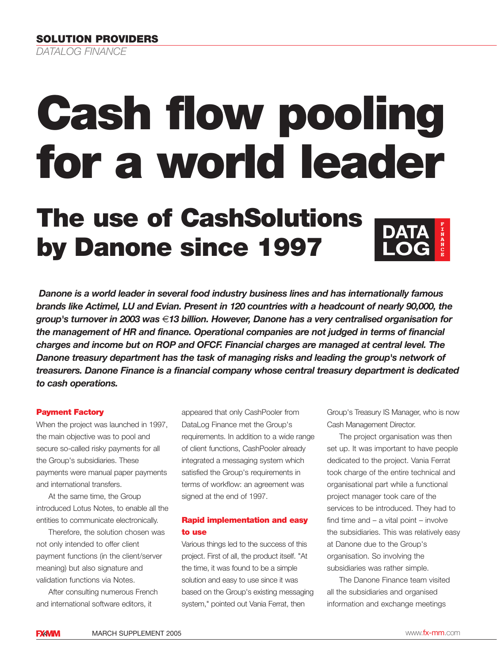# **Cash flow pooling for a world leader**

# **The use of CashSolutions by Danone since 1997**

*Danone is a world leader in several food industry business lines and has internationally famous brands like Actimel, LU and Evian. Present in 120 countries with a headcount of nearly 90,000, the group's turnover in 2003 was* €*13 billion. However, Danone has a very centralised organisation for the management of HR and finance. Operational companies are not judged in terms of financial charges and income but on ROP and OFCF. Financial charges are managed at central level. The Danone treasury department has the task of managing risks and leading the group's network of treasurers. Danone Finance is a financial company whose central treasury department is dedicated to cash operations.* 

#### **Payment Factory**

When the project was launched in 1997, the main objective was to pool and secure so-called risky payments for all the Group's subsidiaries. These payments were manual paper payments and international transfers.

At the same time, the Group introduced Lotus Notes, to enable all the entities to communicate electronically.

Therefore, the solution chosen was not only intended to offer client payment functions (in the client/server meaning) but also signature and validation functions via Notes.

After consulting numerous French and international software editors, it

appeared that only CashPooler from DataLog Finance met the Group's requirements. In addition to a wide range of client functions, CashPooler already integrated a messaging system which satisfied the Group's requirements in terms of workflow: an agreement was signed at the end of 1997.

# **Rapid implementation and easy to use**

Various things led to the success of this project. First of all, the product itself. "At the time, it was found to be a simple solution and easy to use since it was based on the Group's existing messaging system," pointed out Vania Ferrat, then

Group's Treasury IS Manager, who is now Cash Management Director.

The project organisation was then set up. It was important to have people dedicated to the project. Vania Ferrat took charge of the entire technical and organisational part while a functional project manager took care of the services to be introduced. They had to find time and – a vital point – involve the subsidiaries. This was relatively easy at Danone due to the Group's organisation. So involving the subsidiaries was rather simple.

The Danone Finance team visited all the subsidiaries and organised information and exchange meetings